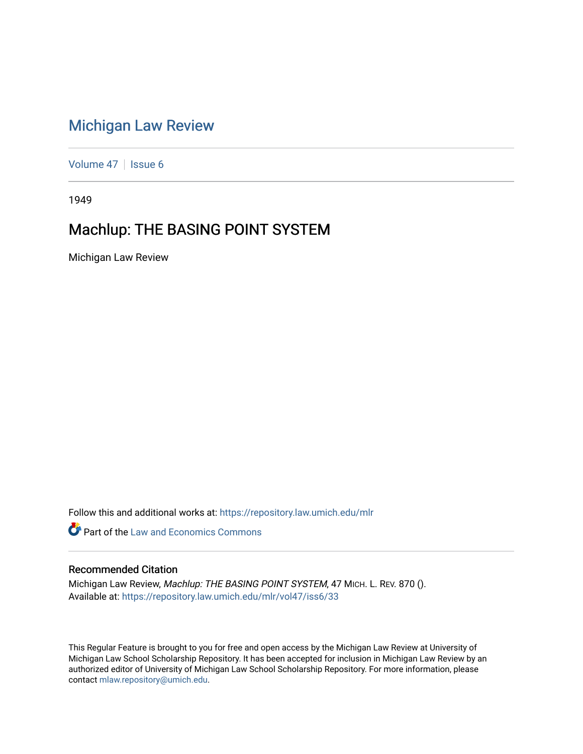## [Michigan Law Review](https://repository.law.umich.edu/mlr)

[Volume 47](https://repository.law.umich.edu/mlr/vol47) | [Issue 6](https://repository.law.umich.edu/mlr/vol47/iss6)

1949

## Machlup: THE BASING POINT SYSTEM

Michigan Law Review

Follow this and additional works at: [https://repository.law.umich.edu/mlr](https://repository.law.umich.edu/mlr?utm_source=repository.law.umich.edu%2Fmlr%2Fvol47%2Fiss6%2F33&utm_medium=PDF&utm_campaign=PDFCoverPages) 

**C** Part of the Law and Economics Commons

## Recommended Citation

Michigan Law Review, Machlup: THE BASING POINT SYSTEM, 47 MICH. L. REV. 870 (). Available at: [https://repository.law.umich.edu/mlr/vol47/iss6/33](https://repository.law.umich.edu/mlr/vol47/iss6/33?utm_source=repository.law.umich.edu%2Fmlr%2Fvol47%2Fiss6%2F33&utm_medium=PDF&utm_campaign=PDFCoverPages) 

This Regular Feature is brought to you for free and open access by the Michigan Law Review at University of Michigan Law School Scholarship Repository. It has been accepted for inclusion in Michigan Law Review by an authorized editor of University of Michigan Law School Scholarship Repository. For more information, please contact [mlaw.repository@umich.edu](mailto:mlaw.repository@umich.edu).